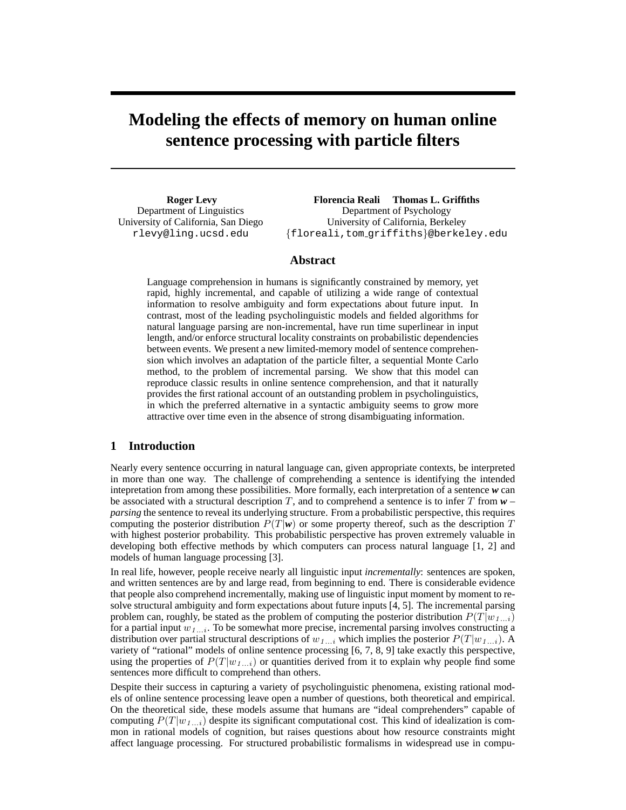# **Modeling the effects of memory on human online sentence processing with particle filters**

**Roger Levy** Department of Linguistics University of California, San Diego rlevy@ling.ucsd.edu

**Florencia Reali Thomas L. Griffiths** Department of Psychology University of California, Berkeley {floreali,tom griffiths}@berkeley.edu

#### **Abstract**

Language comprehension in humans is significantly constrained by memory, yet rapid, highly incremental, and capable of utilizing a wide range of contextual information to resolve ambiguity and form expectations about future input. In contrast, most of the leading psycholinguistic models and fielded algorithms for natural language parsing are non-incremental, have run time superlinear in input length, and/or enforce structural locality constraints on probabilistic dependencies between events. We present a new limited-memory model of sentence comprehension which involves an adaptation of the particle filter, a sequential Monte Carlo method, to the problem of incremental parsing. We show that this model can reproduce classic results in online sentence comprehension, and that it naturally provides the first rational account of an outstanding problem in psycholinguistics, in which the preferred alternative in a syntactic ambiguity seems to grow more attractive over time even in the absence of strong disambiguating information.

# **1 Introduction**

Nearly every sentence occurring in natural language can, given appropriate contexts, be interpreted in more than one way. The challenge of comprehending a sentence is identifying the intended intepretation from among these possibilities. More formally, each interpretation of a sentence *w* can be associated with a structural description T, and to comprehend a sentence is to infer T from  $w$ *parsing* the sentence to reveal its underlying structure. From a probabilistic perspective, this requires computing the posterior distribution  $P(T|\mathbf{w})$  or some property thereof, such as the description T with highest posterior probability. This probabilistic perspective has proven extremely valuable in developing both effective methods by which computers can process natural language [1, 2] and models of human language processing [3].

In real life, however, people receive nearly all linguistic input *incrementally*: sentences are spoken, and written sentences are by and large read, from beginning to end. There is considerable evidence that people also comprehend incrementally, making use of linguistic input moment by moment to resolve structural ambiguity and form expectations about future inputs [4, 5]. The incremental parsing problem can, roughly, be stated as the problem of computing the posterior distribution  $P(T|w_{1...i})$ for a partial input  $w_{1...i}$ . To be somewhat more precise, incremental parsing involves constructing a distribution over partial structural descriptions of  $w_{1...i}$  which implies the posterior  $P(T|w_{1...i})$ . A variety of "rational" models of online sentence processing [6, 7, 8, 9] take exactly this perspective, using the properties of  $P(T|w_{1...i})$  or quantities derived from it to explain why people find some sentences more difficult to comprehend than others.

Despite their success in capturing a variety of psycholinguistic phenomena, existing rational models of online sentence processing leave open a number of questions, both theoretical and empirical. On the theoretical side, these models assume that humans are "ideal comprehenders" capable of computing  $P(T|w_{1...i})$  despite its significant computational cost. This kind of idealization is common in rational models of cognition, but raises questions about how resource constraints might affect language processing. For structured probabilistic formalisms in widespread use in compu-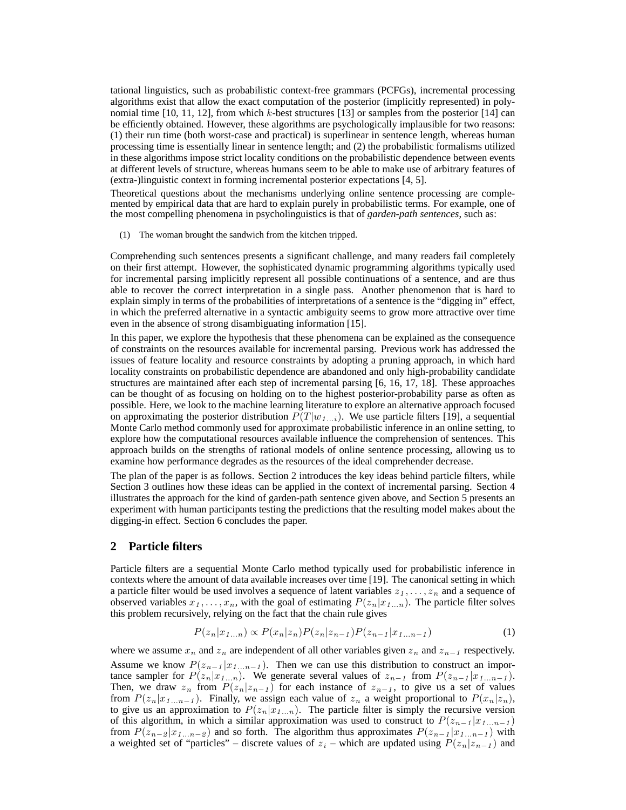tational linguistics, such as probabilistic context-free grammars (PCFGs), incremental processing algorithms exist that allow the exact computation of the posterior (implicitly represented) in polynomial time  $[10, 11, 12]$ , from which k-best structures  $[13]$  or samples from the posterior  $[14]$  can be efficiently obtained. However, these algorithms are psychologically implausible for two reasons: (1) their run time (both worst-case and practical) is superlinear in sentence length, whereas human processing time is essentially linear in sentence length; and (2) the probabilistic formalisms utilized in these algorithms impose strict locality conditions on the probabilistic dependence between events at different levels of structure, whereas humans seem to be able to make use of arbitrary features of (extra-)linguistic context in forming incremental posterior expectations [4, 5].

Theoretical questions about the mechanisms underlying online sentence processing are complemented by empirical data that are hard to explain purely in probabilistic terms. For example, one of the most compelling phenomena in psycholinguistics is that of *garden-path sentences*, such as:

(1) The woman brought the sandwich from the kitchen tripped.

Comprehending such sentences presents a significant challenge, and many readers fail completely on their first attempt. However, the sophisticated dynamic programming algorithms typically used for incremental parsing implicitly represent all possible continuations of a sentence, and are thus able to recover the correct interpretation in a single pass. Another phenomenon that is hard to explain simply in terms of the probabilities of interpretations of a sentence is the "digging in" effect, in which the preferred alternative in a syntactic ambiguity seems to grow more attractive over time even in the absence of strong disambiguating information [15].

In this paper, we explore the hypothesis that these phenomena can be explained as the consequence of constraints on the resources available for incremental parsing. Previous work has addressed the issues of feature locality and resource constraints by adopting a pruning approach, in which hard locality constraints on probabilistic dependence are abandoned and only high-probability candidate structures are maintained after each step of incremental parsing [6, 16, 17, 18]. These approaches can be thought of as focusing on holding on to the highest posterior-probability parse as often as possible. Here, we look to the machine learning literature to explore an alternative approach focused on approximating the posterior distribution  $P(T|w_{1...i})$ . We use particle filters [19], a sequential Monte Carlo method commonly used for approximate probabilistic inference in an online setting, to explore how the computational resources available influence the comprehension of sentences. This approach builds on the strengths of rational models of online sentence processing, allowing us to examine how performance degrades as the resources of the ideal comprehender decrease.

The plan of the paper is as follows. Section 2 introduces the key ideas behind particle filters, while Section 3 outlines how these ideas can be applied in the context of incremental parsing. Section 4 illustrates the approach for the kind of garden-path sentence given above, and Section 5 presents an experiment with human participants testing the predictions that the resulting model makes about the digging-in effect. Section 6 concludes the paper.

# **2 Particle filters**

Particle filters are a sequential Monte Carlo method typically used for probabilistic inference in contexts where the amount of data available increases over time [19]. The canonical setting in which a particle filter would be used involves a sequence of latent variables  $z_1, \ldots, z_n$  and a sequence of observed variables  $x_1, \ldots, x_n$ , with the goal of estimating  $P(z_n|x_{1...n})$ . The particle filter solves this problem recursively, relying on the fact that the chain rule gives

$$
P(z_n|x_{1...n}) \propto P(x_n|z_n)P(z_n|z_{n-1})P(z_{n-1}|x_{1...n-1})
$$
\n(1)

where we assume  $x_n$  and  $z_n$  are independent of all other variables given  $z_n$  and  $z_{n-1}$  respectively.

Assume we know  $P(z_{n-1} | x_{1...n-1})$ . Then we can use this distribution to construct an importance sampler for  $P(z_n|x_{1...n})$ . We generate several values of  $z_{n-1}$  from  $P(z_{n-1}|x_{1...n-1})$ . Then, we draw  $z_n$  from  $P(z_n|z_{n-1})$  for each instance of  $z_{n-1}$ , to give us a set of values from  $P(z_n|x_{1...n-1})$ . Finally, we assign each value of  $z_n$  a weight proportional to  $P(x_n|z_n)$ , to give us an approximation to  $P(z_n|x_{1...n})$ . The particle filter is simply the recursive version of this algorithm, in which a similar approximation was used to construct to  $P(z_{n-1} | x_{1...n-1})$ from  $P(z_{n-2} | x_{1...n-2})$  and so forth. The algorithm thus approximates  $P(z_{n-1} | x_{1...n-1})$  with a weighted set of "particles" – discrete values of  $z_i$  – which are updated using  $P(z_n|z_{n-1})$  and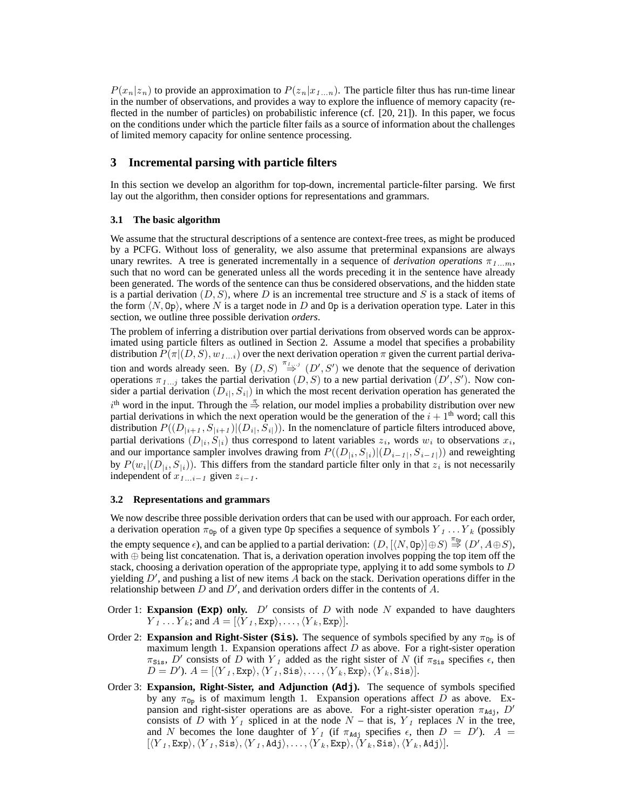$P(x_n|z_n)$  to provide an approximation to  $P(z_n|x_{1...n})$ . The particle filter thus has run-time linear in the number of observations, and provides a way to explore the influence of memory capacity (reflected in the number of particles) on probabilistic inference (cf. [20, 21]). In this paper, we focus on the conditions under which the particle filter fails as a source of information about the challenges of limited memory capacity for online sentence processing.

# **3 Incremental parsing with particle filters**

In this section we develop an algorithm for top-down, incremental particle-filter parsing. We first lay out the algorithm, then consider options for representations and grammars.

#### **3.1 The basic algorithm**

We assume that the structural descriptions of a sentence are context-free trees, as might be produced by a PCFG. Without loss of generality, we also assume that preterminal expansions are always unary rewrites. A tree is generated incrementally in a sequence of *derivation operations*  $\pi_{1...m}$ , such that no word can be generated unless all the words preceding it in the sentence have already been generated. The words of the sentence can thus be considered observations, and the hidden state is a partial derivation  $(D, S)$ , where D is an incremental tree structure and S is a stack of items of the form  $\langle N, 0p \rangle$ , where N is a target node in D and Op is a derivation operation type. Later in this section, we outline three possible derivation *orders*.

The problem of inferring a distribution over partial derivations from observed words can be approximated using particle filters as outlined in Section 2. Assume a model that specifies a probability distribution  $P(\pi|(D, S), w_{1...i})$  over the next derivation operation  $\pi$  given the current partial derivation and words already seen. By  $(D, S) \stackrel{\pi_{1...j}}{\Rightarrow} (D', S')$  we denote that the sequence of derivation operations  $\pi_{1...j}$  takes the partial derivation  $(D, S)$  to a new partial derivation  $(D', S')$ . Now consider a partial derivation  $(D_{i|}, S_{i|})$  in which the most recent derivation operation has generated the  $i<sup>th</sup>$  word in the input. Through the  $\stackrel{\pi}{\Rightarrow}$  relation, our model implies a probability distribution over new partial derivations in which the next operation would be the generation of the  $i + 1<sup>th</sup>$  word; call this distribution  $P((D_{|i+1}, S_{|i+1}) | (D_{i}, S_{i})).$  In the nomenclature of particle filters introduced above, partial derivations  $(D_{|i}, S_{|i})$  thus correspond to latent variables  $z_i$ , words  $w_i$  to observations  $x_i$ , and our importance sampler involves drawing from  $P((D_{|i}, S_{|i})|(D_{i-1}, S_{i-1}|))$  and reweighting by  $P(w_i|(D_{|i}, S_{|i}))$ . This differs from the standard particle filter only in that  $z_i$  is not necessarily independent of  $x_{1...i-1}$  given  $z_{i-1}$ .

#### **3.2 Representations and grammars**

We now describe three possible derivation orders that can be used with our approach. For each order, a derivation operation  $\pi_{\text{Op}}$  of a given type 0p specifies a sequence of symbols  $Y_1 \dots Y_k$  (possibly the empty sequence  $\epsilon$ ), and can be applied to a partial derivation:  $(D, [\langle N, \text{Op} \rangle] \oplus S) \stackrel{\pi_{0p}}{\Rightarrow} (D', A \oplus S)$ , with ⊕ being list concatenation. That is, a derivation operation involves popping the top item off the stack, choosing a derivation operation of the appropriate type, applying it to add some symbols to  $D$ yielding  $D'$ , and pushing a list of new items  $\overline{A}$  back on the stack. Derivation operations differ in the relationship between  $D$  and  $D'$ , and derivation orders differ in the contents of  $A$ .

- Order 1: **Expansion (Exp) only.**  $D'$  consists of  $D$  with node  $N$  expanded to have daughters  $Y_1 \ldots Y_k$ ; and  $A = [\langle Y_1, \text{Exp} \rangle, \ldots, \langle Y_k, \text{Exp} \rangle].$
- Order 2: **Expansion and Right-Sister (Sis).** The sequence of symbols specified by any  $\pi_{0p}$  is of maximum length 1. Expansion operations affect  $D$  as above. For a right-sister operation  $\pi_{\text{Sis}}$ , D' consists of D with Y<sub>1</sub> added as the right sister of N (if  $\pi_{\text{Sis}}$  specifies  $\epsilon$ , then  $D = D'$ ).  $A = [\langle Y \, 1, \text{Exp} \rangle, \langle Y \, 1, \text{Sis} \rangle, \ldots, \langle Y \, k, \text{Exp} \rangle, \langle Y \, k, \text{Sis} \rangle].$
- Order 3: **Expansion, Right-Sister, and Adjunction (Adj).** The sequence of symbols specified by any  $\pi_{0p}$  is of maximum length 1. Expansion operations affect D as above. Expansion and right-sister operations are as above. For a right-sister operation  $\pi_{\text{Ad}i}$ , D' consists of D with  $Y_1$  spliced in at the node  $N$  – that is,  $Y_1$  replaces N in the tree, and N becomes the lone daughter of  $Y_1$  (if  $\pi_{\text{Adj}}$  specifies  $\epsilon$ , then  $D = D'$ ).  $A =$  $[\langle Y_1, \text{Exp}\rangle, \langle Y_1, \text{Sis}\rangle, \langle Y_1, \text{Adj}\rangle, \ldots, \langle Y_k, \text{Exp}\rangle, \langle Y_k, \text{Sis}\rangle, \langle Y_k, \text{Adj}\rangle].$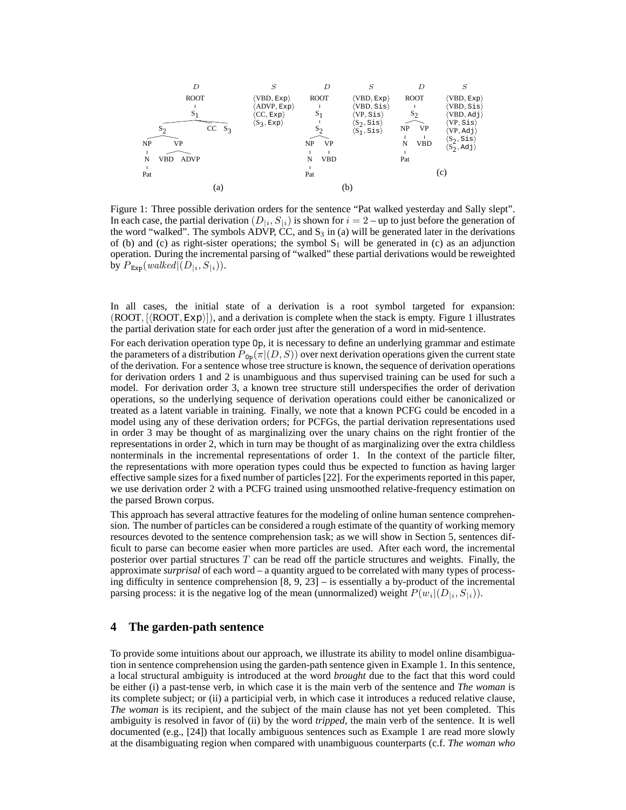

Figure 1: Three possible derivation orders for the sentence "Pat walked yesterday and Sally slept". In each case, the partial derivation  $(D_{i}, S_{i})$  is shown for  $i = 2$  – up to just before the generation of the word "walked". The symbols ADVP, CC, and  $S_3$  in (a) will be generated later in the derivations of (b) and (c) as right-sister operations; the symbol  $S_1$  will be generated in (c) as an adjunction operation. During the incremental parsing of "walked" these partial derivations would be reweighted by  $P_{\text{Exp}}(walked | (D_{|i}, S_{|i})).$ 

In all cases, the initial state of a derivation is a root symbol targeted for expansion:  $(ROOT, |\langle ROOT, \frac{Exp}{\rangle}|)$ , and a derivation is complete when the stack is empty. Figure 1 illustrates the partial derivation state for each order just after the generation of a word in mid-sentence.

For each derivation operation type Op, it is necessary to define an underlying grammar and estimate the parameters of a distribution  $P_{\text{Op}}(\pi|(D, S))$  over next derivation operations given the current state of the derivation. For a sentence whose tree structure is known, the sequence of derivation operations for derivation orders 1 and 2 is unambiguous and thus supervised training can be used for such a model. For derivation order 3, a known tree structure still underspecifies the order of derivation operations, so the underlying sequence of derivation operations could either be canonicalized or treated as a latent variable in training. Finally, we note that a known PCFG could be encoded in a model using any of these derivation orders; for PCFGs, the partial derivation representations used in order 3 may be thought of as marginalizing over the unary chains on the right frontier of the representations in order 2, which in turn may be thought of as marginalizing over the extra childless nonterminals in the incremental representations of order 1. In the context of the particle filter, the representations with more operation types could thus be expected to function as having larger effective sample sizes for a fixed number of particles [22]. For the experiments reported in this paper, we use derivation order 2 with a PCFG trained using unsmoothed relative-frequency estimation on the parsed Brown corpus.

This approach has several attractive features for the modeling of online human sentence comprehension. The number of particles can be considered a rough estimate of the quantity of working memory resources devoted to the sentence comprehension task; as we will show in Section 5, sentences difficult to parse can become easier when more particles are used. After each word, the incremental posterior over partial structures  $T$  can be read off the particle structures and weights. Finally, the approximate *surprisal* of each word – a quantity argued to be correlated with many types of processing difficulty in sentence comprehension [8, 9, 23] – is essentially a by-product of the incremental parsing process: it is the negative log of the mean (unnormalized) weight  $P(w_i|(D_{|i}, S_{|i}))$ .

#### **4 The garden-path sentence**

To provide some intuitions about our approach, we illustrate its ability to model online disambiguation in sentence comprehension using the garden-path sentence given in Example 1. In this sentence, a local structural ambiguity is introduced at the word *brought* due to the fact that this word could be either (i) a past-tense verb, in which case it is the main verb of the sentence and *The woman* is its complete subject; or (ii) a participial verb, in which case it introduces a reduced relative clause, *The woman* is its recipient, and the subject of the main clause has not yet been completed. This ambiguity is resolved in favor of (ii) by the word *tripped*, the main verb of the sentence. It is well documented (e.g., [24]) that locally ambiguous sentences such as Example 1 are read more slowly at the disambiguating region when compared with unambiguous counterparts (c.f. *The woman who*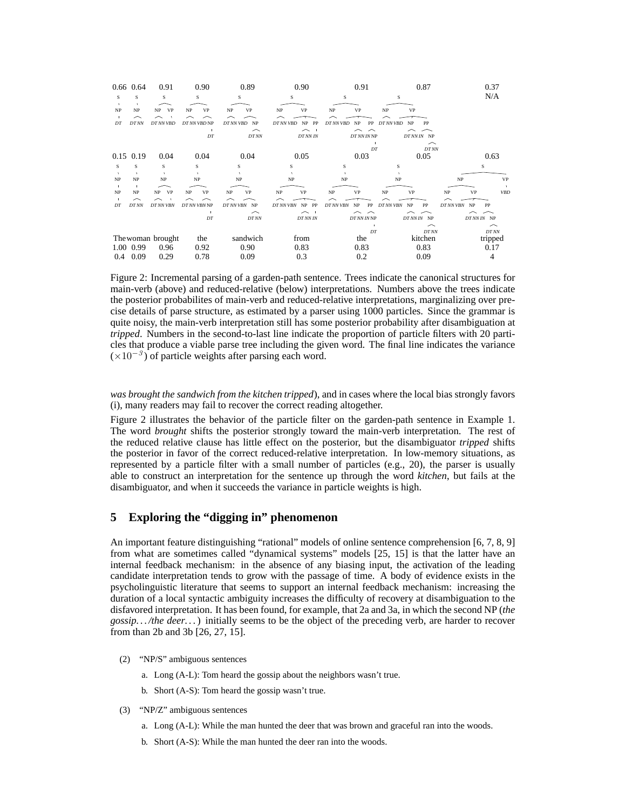|     | 0.66 0.64    | 0.91              | 0.90         | 0.89         | 0.90                                       | 0.91                          | 0.87                         | 0.37                   |
|-----|--------------|-------------------|--------------|--------------|--------------------------------------------|-------------------------------|------------------------------|------------------------|
| S   | S            | S                 | S            | S            | s                                          | S                             | s                            | N/A                    |
| NP  | NP           | VP<br>NP          | VP<br>NP     | VP<br>NP     | VP<br>NP                                   | <b>VP</b><br>NP               | NP<br><b>VP</b>              |                        |
|     | ∼            |                   |              |              |                                            |                               |                              |                        |
| DT  | <b>DTNN</b>  | DT NN VBD         | DT NN VBD NP | DT NN VBD NP | <b>DT NN VBD</b><br>NP<br>PP               | <b>DT NN VBD</b><br><b>NP</b> | <b>DT NN VBD</b><br>NP<br>PP |                        |
|     |              |                   |              | ⌒            | ⌒                                          | ⌒<br>⌒                        |                              |                        |
|     |              |                   | DT           | $DT\,NN$     | <b>DT NN IN</b>                            | DT NN IN NP                   | DTNN IN NP                   |                        |
|     |              |                   |              |              |                                            |                               | ⌒                            |                        |
|     |              |                   |              |              |                                            | DT                            | <b>DT NN</b>                 |                        |
|     | $0.15$ 0.19  | 0.04              | 0.04         | 0.04         | 0.05                                       | 0.03                          | 0.05                         | 0.63                   |
| S   | S            | S                 | S            | S            | S                                          | S                             | S                            | s                      |
|     |              |                   |              |              |                                            |                               |                              |                        |
| NP  | NP           | NP                | NP           | NP           | NP                                         | NP                            | NP                           | VP<br>NP               |
| NP  | J.<br>NP     | VP<br>NP          | VP<br>NP     | NP<br>VP     | VP<br>NP                                   | VP<br>NP                      | NP<br>VP                     | VP<br><b>VBD</b><br>NP |
|     | ⌒            |                   |              |              |                                            |                               |                              |                        |
| DT  | <b>DT NN</b> | <b>DT NN VBN</b>  | DT NN VBN NP | DT NN VBN NP | <b>DT NN VBN</b><br><b>NP</b><br><b>PP</b> | <b>DT NN VBN</b><br>NP<br>PP  | DT NN VBN NP<br>PP           | DT NN VBN NP<br>PP     |
|     |              |                   |              | ⌒            | ∼                                          | ⌒                             |                              |                        |
|     |              |                   | DT           | <b>DTNN</b>  | <b>DT NN IN</b>                            | DT NN IN NP                   | DT NN IN NP                  | DT NN IN NP            |
|     |              |                   |              |              |                                            |                               | ⌒                            | ∼                      |
|     |              |                   |              |              |                                            | DT                            | <b>DTNN</b>                  | DTNN                   |
|     |              | The woman brought | the          | sandwich     | from                                       | the                           | kitchen                      | tripped                |
|     | 1.00 0.99    | 0.96              | 0.92         | 0.90         | 0.83                                       | 0.83                          | 0.83                         | 0.17                   |
| 0.4 | 0.09         | 0.29              | 0.78         | 0.09         | 0.3                                        |                               |                              |                        |

Figure 2: Incremental parsing of a garden-path sentence. Trees indicate the canonical structures for main-verb (above) and reduced-relative (below) interpretations. Numbers above the trees indicate the posterior probabilites of main-verb and reduced-relative interpretations, marginalizing over precise details of parse structure, as estimated by a parser using 1000 particles. Since the grammar is quite noisy, the main-verb interpretation still has some posterior probability after disambiguation at *tripped*. Numbers in the second-to-last line indicate the proportion of particle filters with 20 particles that produce a viable parse tree including the given word. The final line indicates the variance  $(\times 10^{-3})$  of particle weights after parsing each word.

*was brought the sandwich from the kitchen tripped*), and in cases where the local bias strongly favors (i), many readers may fail to recover the correct reading altogether.

Figure 2 illustrates the behavior of the particle filter on the garden-path sentence in Example 1. The word *brought* shifts the posterior strongly toward the main-verb interpretation. The rest of the reduced relative clause has little effect on the posterior, but the disambiguator *tripped* shifts the posterior in favor of the correct reduced-relative interpretation. In low-memory situations, as represented by a particle filter with a small number of particles (e.g., 20), the parser is usually able to construct an interpretation for the sentence up through the word *kitchen*, but fails at the disambiguator, and when it succeeds the variance in particle weights is high.

# **5 Exploring the "digging in" phenomenon**

An important feature distinguishing "rational" models of online sentence comprehension [6, 7, 8, 9] from what are sometimes called "dynamical systems" models [25, 15] is that the latter have an internal feedback mechanism: in the absence of any biasing input, the activation of the leading candidate interpretation tends to grow with the passage of time. A body of evidence exists in the psycholinguistic literature that seems to support an internal feedback mechanism: increasing the duration of a local syntactic ambiguity increases the difficulty of recovery at disambiguation to the disfavored interpretation. It has been found, for example, that 2a and 3a, in which the second NP (*the gossip. . . /the deer. . .*) initially seems to be the object of the preceding verb, are harder to recover from than 2b and 3b [26, 27, 15].

- (2) "NP/S" ambiguous sentences
	- a. Long (A-L): Tom heard the gossip about the neighbors wasn't true.
	- b. Short (A-S): Tom heard the gossip wasn't true.
- (3) "NP/Z" ambiguous sentences
	- a. Long (A-L): While the man hunted the deer that was brown and graceful ran into the woods.
	- b. Short (A-S): While the man hunted the deer ran into the woods.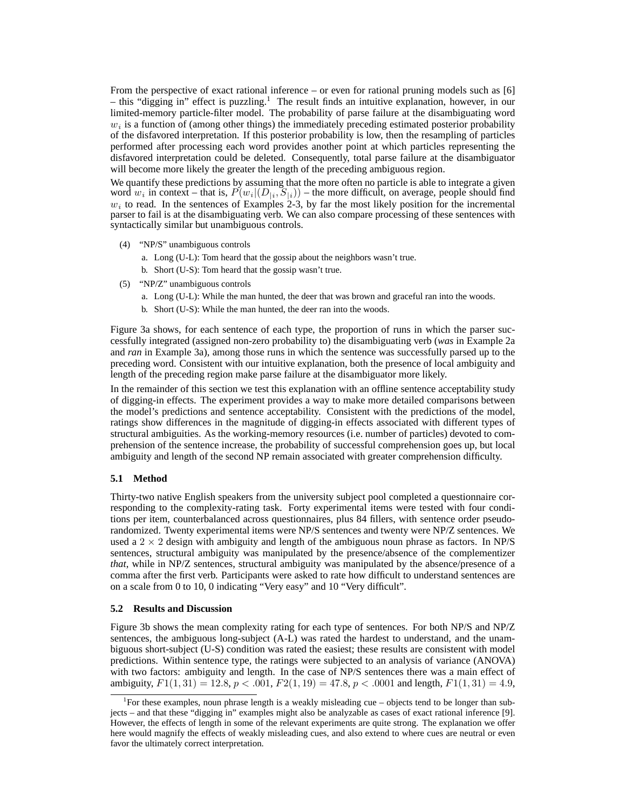From the perspective of exact rational inference – or even for rational pruning models such as [6] – this "digging in" effect is puzzling.<sup>1</sup> The result finds an intuitive explanation, however, in our limited-memory particle-filter model. The probability of parse failure at the disambiguating word  $w<sub>i</sub>$  is a function of (among other things) the immediately preceding estimated posterior probability of the disfavored interpretation. If this posterior probability is low, then the resampling of particles performed after processing each word provides another point at which particles representing the disfavored interpretation could be deleted. Consequently, total parse failure at the disambiguator will become more likely the greater the length of the preceding ambiguous region.

We quantify these predictions by assuming that the more often no particle is able to integrate a given word  $w_i$  in context – that is,  $P(w_i|(D_{|i}, S_{|i}))$  – the more difficult, on average, people should find  $w_i$  to read. In the sentences of Examples 2-3, by far the most likely position for the incremental parser to fail is at the disambiguating verb. We can also compare processing of these sentences with syntactically similar but unambiguous controls.

- (4) "NP/S" unambiguous controls
	- a. Long (U-L): Tom heard that the gossip about the neighbors wasn't true.
	- b. Short (U-S): Tom heard that the gossip wasn't true.
- (5) "NP/Z" unambiguous controls
	- a. Long (U-L): While the man hunted, the deer that was brown and graceful ran into the woods.
	- b. Short (U-S): While the man hunted, the deer ran into the woods.

Figure 3a shows, for each sentence of each type, the proportion of runs in which the parser successfully integrated (assigned non-zero probability to) the disambiguating verb (*was* in Example 2a and *ran* in Example 3a), among those runs in which the sentence was successfully parsed up to the preceding word. Consistent with our intuitive explanation, both the presence of local ambiguity and length of the preceding region make parse failure at the disambiguator more likely.

In the remainder of this section we test this explanation with an offline sentence acceptability study of digging-in effects. The experiment provides a way to make more detailed comparisons between the model's predictions and sentence acceptability. Consistent with the predictions of the model, ratings show differences in the magnitude of digging-in effects associated with different types of structural ambiguities. As the working-memory resources (i.e. number of particles) devoted to comprehension of the sentence increase, the probability of successful comprehension goes up, but local ambiguity and length of the second NP remain associated with greater comprehension difficulty.

#### **5.1 Method**

Thirty-two native English speakers from the university subject pool completed a questionnaire corresponding to the complexity-rating task. Forty experimental items were tested with four conditions per item, counterbalanced across questionnaires, plus 84 fillers, with sentence order pseudorandomized. Twenty experimental items were NP/S sentences and twenty were NP/Z sentences. We used a  $2 \times 2$  design with ambiguity and length of the ambiguous noun phrase as factors. In NP/S sentences, structural ambiguity was manipulated by the presence/absence of the complementizer *that*, while in NP/Z sentences, structural ambiguity was manipulated by the absence/presence of a comma after the first verb. Participants were asked to rate how difficult to understand sentences are on a scale from 0 to 10, 0 indicating "Very easy" and 10 "Very difficult".

#### **5.2 Results and Discussion**

Figure 3b shows the mean complexity rating for each type of sentences. For both NP/S and NP/Z sentences, the ambiguous long-subject (A-L) was rated the hardest to understand, and the unambiguous short-subject (U-S) condition was rated the easiest; these results are consistent with model predictions. Within sentence type, the ratings were subjected to an analysis of variance (ANOVA) with two factors: ambiguity and length. In the case of NP/S sentences there was a main effect of ambiguity,  $F1(1, 31) = 12.8$ ,  $p < .001$ ,  $F2(1, 19) = 47.8$ ,  $p < .0001$  and length,  $F1(1, 31) = 4.9$ ,

<sup>&</sup>lt;sup>1</sup>For these examples, noun phrase length is a weakly misleading cue – objects tend to be longer than subjects – and that these "digging in" examples might also be analyzable as cases of exact rational inference [9]. However, the effects of length in some of the relevant experiments are quite strong. The explanation we offer here would magnify the effects of weakly misleading cues, and also extend to where cues are neutral or even favor the ultimately correct interpretation.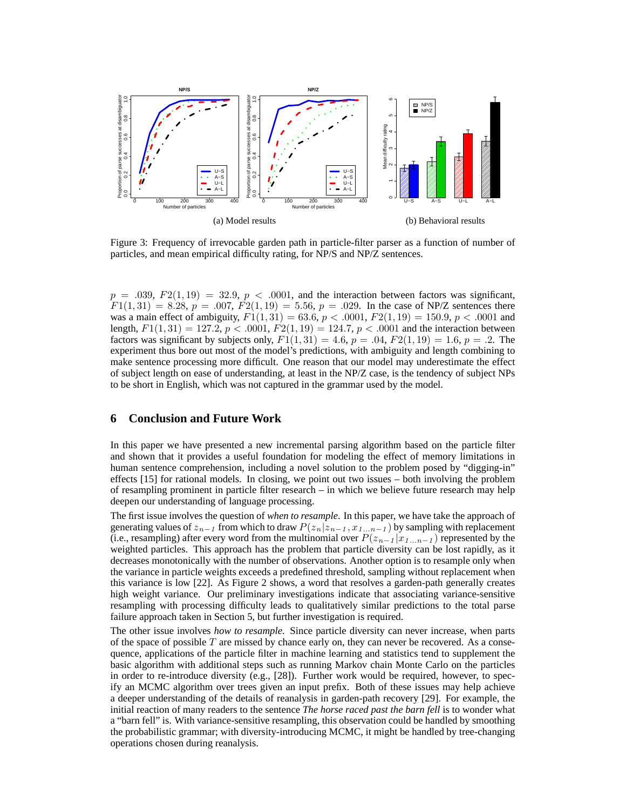

Figure 3: Frequency of irrevocable garden path in particle-filter parser as a function of number of particles, and mean empirical difficulty rating, for NP/S and NP/Z sentences.

 $p = .039, F2(1, 19) = 32.9, p < .0001$ , and the interaction between factors was significant,  $F1(1, 31) = 8.28, p = .007, F2(1, 19) = 5.56, p = .029$ . In the case of NP/Z sentences there was a main effect of ambiguity,  $F1(1, 31) = 63.6$ ,  $p < .0001$ ,  $F2(1, 19) = 150.9$ ,  $p < .0001$  and length,  $F1(1, 31) = 127.2$ ,  $p < .0001$ ,  $F2(1, 19) = 124.7$ ,  $p < .0001$  and the interaction between factors was significant by subjects only,  $F1(1, 31) = 4.6$ ,  $p = .04$ ,  $F2(1, 19) = 1.6$ ,  $p = .2$ . The experiment thus bore out most of the model's predictions, with ambiguity and length combining to make sentence processing more difficult. One reason that our model may underestimate the effect of subject length on ease of understanding, at least in the NP/Z case, is the tendency of subject NPs to be short in English, which was not captured in the grammar used by the model.

### **6 Conclusion and Future Work**

In this paper we have presented a new incremental parsing algorithm based on the particle filter and shown that it provides a useful foundation for modeling the effect of memory limitations in human sentence comprehension, including a novel solution to the problem posed by "digging-in" effects [15] for rational models. In closing, we point out two issues – both involving the problem of resampling prominent in particle filter research – in which we believe future research may help deepen our understanding of language processing.

The first issue involves the question of *when to resample*. In this paper, we have take the approach of generating values of  $z_{n-1}$  from which to draw  $P(z_n|z_{n-1}, x_{1...n-1})$  by sampling with replacement (i.e., resampling) after every word from the multinomial over  $P(z_{n-1} | x_{1...n-1})$  represented by the weighted particles. This approach has the problem that particle diversity can be lost rapidly, as it decreases monotonically with the number of observations. Another option is to resample only when the variance in particle weights exceeds a predefined threshold, sampling without replacement when this variance is low [22]. As Figure 2 shows, a word that resolves a garden-path generally creates high weight variance. Our preliminary investigations indicate that associating variance-sensitive resampling with processing difficulty leads to qualitatively similar predictions to the total parse failure approach taken in Section 5, but further investigation is required.

The other issue involves *how to resample*. Since particle diversity can never increase, when parts of the space of possible  $T$  are missed by chance early on, they can never be recovered. As a consequence, applications of the particle filter in machine learning and statistics tend to supplement the basic algorithm with additional steps such as running Markov chain Monte Carlo on the particles in order to re-introduce diversity (e.g., [28]). Further work would be required, however, to specify an MCMC algorithm over trees given an input prefix. Both of these issues may help achieve a deeper understanding of the details of reanalysis in garden-path recovery [29]. For example, the initial reaction of many readers to the sentence *The horse raced past the barn fell* is to wonder what a "barn fell" is. With variance-sensitive resampling, this observation could be handled by smoothing the probabilistic grammar; with diversity-introducing MCMC, it might be handled by tree-changing operations chosen during reanalysis.